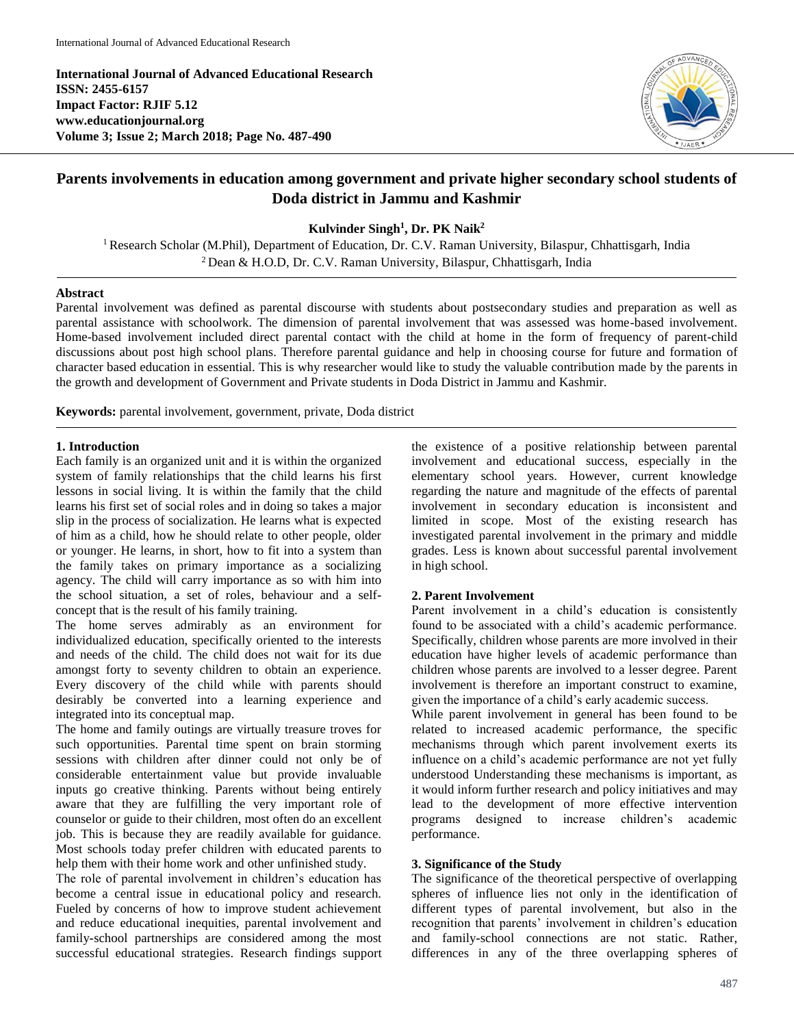**International Journal of Advanced Educational Research ISSN: 2455-6157 Impact Factor: RJIF 5.12 www.educationjournal.org Volume 3; Issue 2; March 2018; Page No. 487-490**



# **Parents involvements in education among government and private higher secondary school students of Doda district in Jammu and Kashmir**

**Kulvinder Singh<sup>1</sup> , Dr. PK Naik<sup>2</sup>**

<sup>1</sup> Research Scholar (M.Phil), Department of Education, Dr. C.V. Raman University, Bilaspur, Chhattisgarh, India <sup>2</sup> Dean & H.O.D, Dr. C.V. Raman University, Bilaspur, Chhattisgarh, India

#### **Abstract**

Parental involvement was defined as parental discourse with students about postsecondary studies and preparation as well as parental assistance with schoolwork. The dimension of parental involvement that was assessed was home-based involvement. Home-based involvement included direct parental contact with the child at home in the form of frequency of parent-child discussions about post high school plans. Therefore parental guidance and help in choosing course for future and formation of character based education in essential. This is why researcher would like to study the valuable contribution made by the parents in the growth and development of Government and Private students in Doda District in Jammu and Kashmir.

**Keywords:** parental involvement, government, private, Doda district

### **1. Introduction**

Each family is an organized unit and it is within the organized system of family relationships that the child learns his first lessons in social living. It is within the family that the child learns his first set of social roles and in doing so takes a major slip in the process of socialization. He learns what is expected of him as a child, how he should relate to other people, older or younger. He learns, in short, how to fit into a system than the family takes on primary importance as a socializing agency. The child will carry importance as so with him into the school situation, a set of roles, behaviour and a selfconcept that is the result of his family training.

The home serves admirably as an environment for individualized education, specifically oriented to the interests and needs of the child. The child does not wait for its due amongst forty to seventy children to obtain an experience. Every discovery of the child while with parents should desirably be converted into a learning experience and integrated into its conceptual map.

The home and family outings are virtually treasure troves for such opportunities. Parental time spent on brain storming sessions with children after dinner could not only be of considerable entertainment value but provide invaluable inputs go creative thinking. Parents without being entirely aware that they are fulfilling the very important role of counselor or guide to their children, most often do an excellent job. This is because they are readily available for guidance. Most schools today prefer children with educated parents to help them with their home work and other unfinished study.

The role of parental involvement in children's education has become a central issue in educational policy and research. Fueled by concerns of how to improve student achievement and reduce educational inequities, parental involvement and family**-**school partnerships are considered among the most successful educational strategies. Research findings support the existence of a positive relationship between parental involvement and educational success, especially in the elementary school years. However, current knowledge regarding the nature and magnitude of the effects of parental involvement in secondary education is inconsistent and limited in scope. Most of the existing research has investigated parental involvement in the primary and middle grades. Less is known about successful parental involvement in high school.

#### **2. Parent Involvement**

Parent involvement in a child's education is consistently found to be associated with a child's academic performance. Specifically, children whose parents are more involved in their education have higher levels of academic performance than children whose parents are involved to a lesser degree. Parent involvement is therefore an important construct to examine, given the importance of a child's early academic success.

While parent involvement in general has been found to be related to increased academic performance, the specific mechanisms through which parent involvement exerts its influence on a child's academic performance are not yet fully understood Understanding these mechanisms is important, as it would inform further research and policy initiatives and may lead to the development of more effective intervention programs designed to increase children's academic performance.

# **3. Significance of the Study**

The significance of the theoretical perspective of overlapping spheres of influence lies not only in the identification of different types of parental involvement, but also in the recognition that parents' involvement in children's education and family**-**school connections are not static. Rather, differences in any of the three overlapping spheres of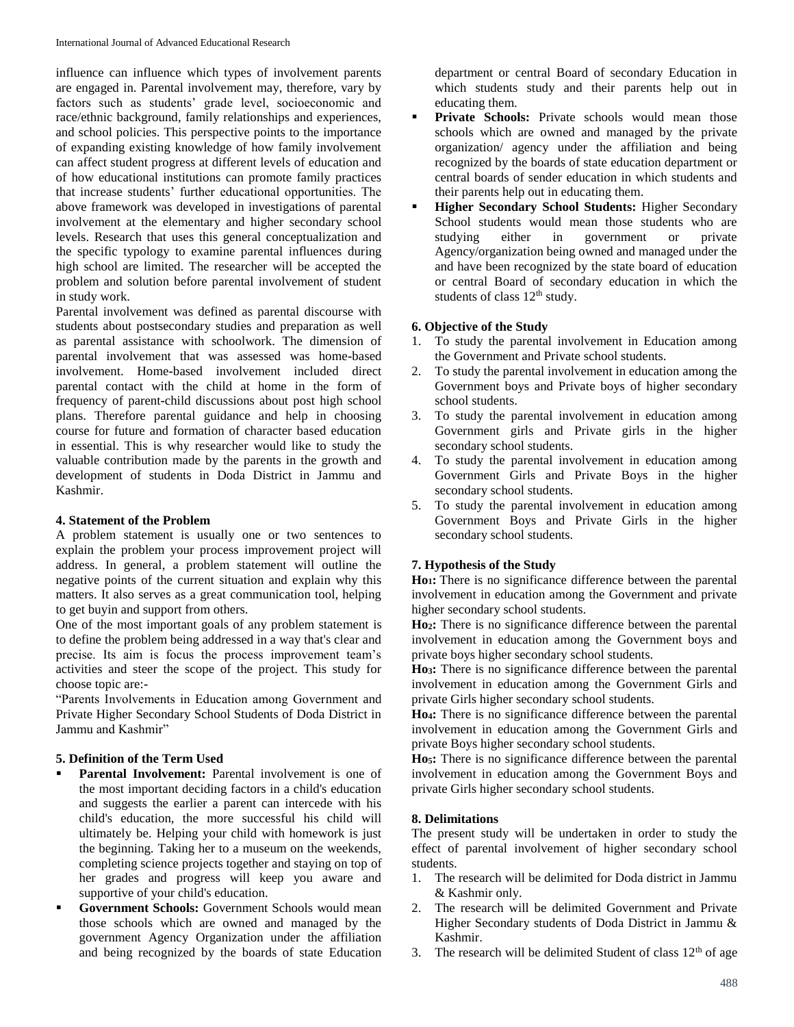influence can influence which types of involvement parents are engaged in. Parental involvement may, therefore, vary by factors such as students' grade level, socioeconomic and race/ethnic background, family relationships and experiences, and school policies. This perspective points to the importance of expanding existing knowledge of how family involvement can affect student progress at different levels of education and of how educational institutions can promote family practices that increase students' further educational opportunities. The above framework was developed in investigations of parental involvement at the elementary and higher secondary school levels. Research that uses this general conceptualization and the specific typology to examine parental influences during high school are limited. The researcher will be accepted the problem and solution before parental involvement of student in study work.

Parental involvement was defined as parental discourse with students about postsecondary studies and preparation as well as parental assistance with schoolwork. The dimension of parental involvement that was assessed was home**-**based involvement. Home**-**based involvement included direct parental contact with the child at home in the form of frequency of parent**-**child discussions about post high school plans. Therefore parental guidance and help in choosing course for future and formation of character based education in essential. This is why researcher would like to study the valuable contribution made by the parents in the growth and development of students in Doda District in Jammu and Kashmir.

# **4. Statement of the Problem**

A problem statement is usually one or two sentences to explain the problem your process improvement project will address. In general, a problem statement will outline the negative points of the current situation and explain why this matters. It also serves as a great communication tool, helping to get buyin and support from others.

One of the most important goals of any problem statement is to define the problem being addressed in a way that's clear and precise. Its aim is focus the process improvement team's activities and steer the scope of the project. This study for choose topic are:**-**

"Parents Involvements in Education among Government and Private Higher Secondary School Students of Doda District in Jammu and Kashmir"

# **5. Definition of the Term Used**

- **Parental Involvement:** Parental involvement is one of the most important deciding factors in a child's education and suggests the earlier a parent can intercede with his child's education, the more successful his child will ultimately be. Helping your child with homework is just the beginning. Taking her to a museum on the weekends, completing science projects together and staying on top of her grades and progress will keep you aware and supportive of your child's education.
- **Government Schools:** Government Schools would mean those schools which are owned and managed by the government Agency Organization under the affiliation and being recognized by the boards of state Education

department or central Board of secondary Education in which students study and their parents help out in educating them.

- Private Schools: Private schools would mean those schools which are owned and managed by the private organization/ agency under the affiliation and being recognized by the boards of state education department or central boards of sender education in which students and their parents help out in educating them.
- **Higher Secondary School Students:** Higher Secondary School students would mean those students who are studying either in government or private Agency/organization being owned and managed under the and have been recognized by the state board of education or central Board of secondary education in which the students of class  $12<sup>th</sup>$  study.

# **6. Objective of the Study**

- 1. To study the parental involvement in Education among the Government and Private school students.
- 2. To study the parental involvement in education among the Government boys and Private boys of higher secondary school students.
- 3. To study the parental involvement in education among Government girls and Private girls in the higher secondary school students.
- 4. To study the parental involvement in education among Government Girls and Private Boys in the higher secondary school students.
- 5. To study the parental involvement in education among Government Boys and Private Girls in the higher secondary school students.

# **7. Hypothesis of the Study**

**Ho1:** There is no significance difference between the parental involvement in education among the Government and private higher secondary school students.

**Ho2:** There is no significance difference between the parental involvement in education among the Government boys and private boys higher secondary school students.

**Ho3:** There is no significance difference between the parental involvement in education among the Government Girls and private Girls higher secondary school students.

**Ho4:** There is no significance difference between the parental involvement in education among the Government Girls and private Boys higher secondary school students.

**Ho5:** There is no significance difference between the parental involvement in education among the Government Boys and private Girls higher secondary school students.

#### **8. Delimitations**

The present study will be undertaken in order to study the effect of parental involvement of higher secondary school students.

- 1. The research will be delimited for Doda district in Jammu & Kashmir only.
- 2. The research will be delimited Government and Private Higher Secondary students of Doda District in Jammu & Kashmir.
- 3. The research will be delimited Student of class  $12<sup>th</sup>$  of age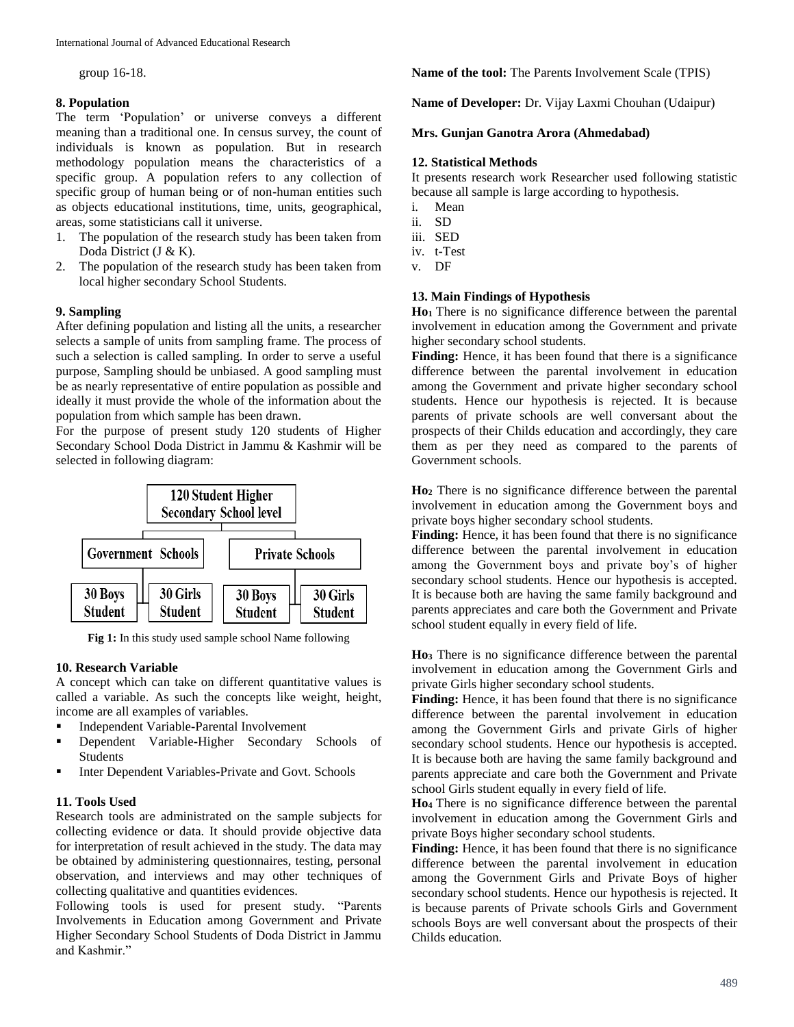group 16**-**18.

# **8. Population**

The term 'Population' or universe conveys a different meaning than a traditional one. In census survey, the count of individuals is known as population. But in research methodology population means the characteristics of a specific group. A population refers to any collection of specific group of human being or of non**-**human entities such as objects educational institutions, time, units, geographical, areas, some statisticians call it universe.

- 1. The population of the research study has been taken from Doda District (J & K).
- 2. The population of the research study has been taken from local higher secondary School Students.

# **9. Sampling**

After defining population and listing all the units, a researcher selects a sample of units from sampling frame. The process of such a selection is called sampling. In order to serve a useful purpose, Sampling should be unbiased. A good sampling must be as nearly representative of entire population as possible and ideally it must provide the whole of the information about the population from which sample has been drawn.

For the purpose of present study 120 students of Higher Secondary School Doda District in Jammu & Kashmir will be selected in following diagram:



Fig 1: In this study used sample school Name following

# **10. Research Variable**

A concept which can take on different quantitative values is called a variable. As such the concepts like weight, height, income are all examples of variables.

- Independent Variable**-**Parental Involvement
- Dependent Variable**-**Higher Secondary Schools of Students
- **Inter Dependent Variables-Private and Govt. Schools**

# **11. Tools Used**

Research tools are administrated on the sample subjects for collecting evidence or data. It should provide objective data for interpretation of result achieved in the study. The data may be obtained by administering questionnaires, testing, personal observation, and interviews and may other techniques of collecting qualitative and quantities evidences.

Following tools is used for present study. "Parents Involvements in Education among Government and Private Higher Secondary School Students of Doda District in Jammu and Kashmir."

**Name of the tool:** The Parents Involvement Scale (TPIS)

**Name of Developer:** Dr. Vijay Laxmi Chouhan (Udaipur)

# **Mrs. Gunjan Ganotra Arora (Ahmedabad)**

# **12. Statistical Methods**

It presents research work Researcher used following statistic because all sample is large according to hypothesis.

- i. Mean
- ii. SD
- iii. SED
- iv. t**-**Test
- v. DF

# **13. Main Findings of Hypothesis**

**Ho1** There is no significance difference between the parental involvement in education among the Government and private higher secondary school students.

Finding: Hence, it has been found that there is a significance difference between the parental involvement in education among the Government and private higher secondary school students. Hence our hypothesis is rejected. It is because parents of private schools are well conversant about the prospects of their Childs education and accordingly, they care them as per they need as compared to the parents of Government schools.

**Ho<sup>2</sup>** There is no significance difference between the parental involvement in education among the Government boys and private boys higher secondary school students.

**Finding:** Hence, it has been found that there is no significance difference between the parental involvement in education among the Government boys and private boy's of higher secondary school students. Hence our hypothesis is accepted. It is because both are having the same family background and parents appreciates and care both the Government and Private school student equally in every field of life.

**Ho<sup>3</sup>** There is no significance difference between the parental involvement in education among the Government Girls and private Girls higher secondary school students.

Finding: Hence, it has been found that there is no significance difference between the parental involvement in education among the Government Girls and private Girls of higher secondary school students. Hence our hypothesis is accepted. It is because both are having the same family background and parents appreciate and care both the Government and Private school Girls student equally in every field of life.

**Ho<sup>4</sup>** There is no significance difference between the parental involvement in education among the Government Girls and private Boys higher secondary school students.

Finding: Hence, it has been found that there is no significance difference between the parental involvement in education among the Government Girls and Private Boys of higher secondary school students. Hence our hypothesis is rejected. It is because parents of Private schools Girls and Government schools Boys are well conversant about the prospects of their Childs education.